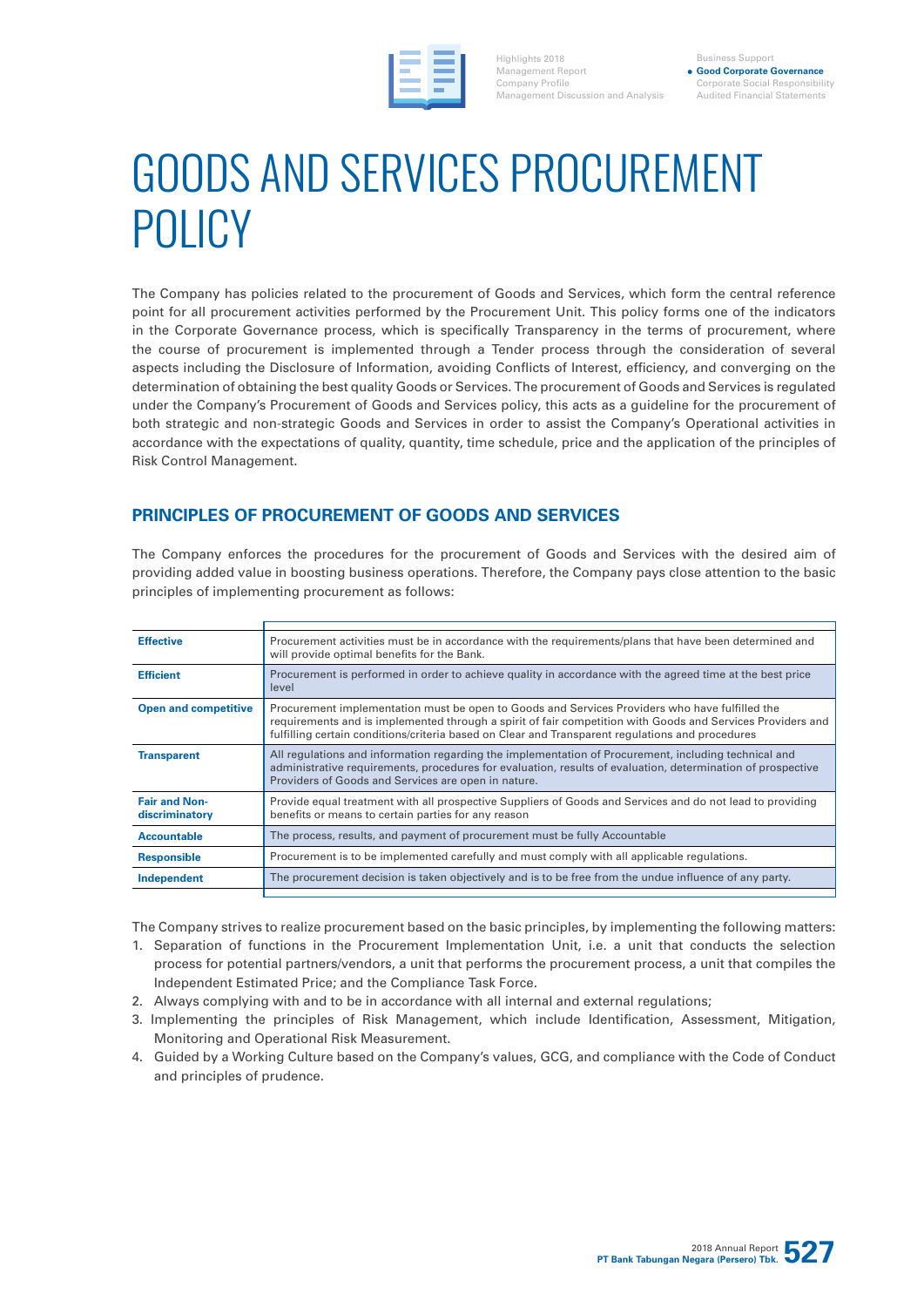

Highlights 2018 Management Report Company Profile Management Discussion and Analysis

Business Support **Good Corporate Governance** Corporate Social Responsibility Audited Financial Statements

# GOODS AND SERVICES PROCUREMENT POLICY

The Company has policies related to the procurement of Goods and Services, which form the central reference point for all procurement activities performed by the Procurement Unit. This policy forms one of the indicators in the Corporate Governance process, which is specifically Transparency in the terms of procurement, where the course of procurement is implemented through a Tender process through the consideration of several aspects including the Disclosure of Information, avoiding Conflicts of Interest, efficiency, and converging on the determination of obtaining the best quality Goods or Services. The procurement of Goods and Services is regulated under the Company's Procurement of Goods and Services policy, this acts as a guideline for the procurement of both strategic and non-strategic Goods and Services in order to assist the Company's Operational activities in accordance with the expectations of quality, quantity, time schedule, price and the application of the principles of Risk Control Management.

### **PRINCIPLES OF PROCUREMENT OF GOODS AND SERVICES**

The Company enforces the procedures for the procurement of Goods and Services with the desired aim of providing added value in boosting business operations. Therefore, the Company pays close attention to the basic principles of implementing procurement as follows:

| <b>Effective</b>                       | Procurement activities must be in accordance with the requirements/plans that have been determined and<br>will provide optimal benefits for the Bank.                                                                                                                                                            |
|----------------------------------------|------------------------------------------------------------------------------------------------------------------------------------------------------------------------------------------------------------------------------------------------------------------------------------------------------------------|
| <b>Efficient</b>                       | Procurement is performed in order to achieve quality in accordance with the agreed time at the best price<br>level                                                                                                                                                                                               |
| <b>Open and competitive</b>            | Procurement implementation must be open to Goods and Services Providers who have fulfilled the<br>requirements and is implemented through a spirit of fair competition with Goods and Services Providers and<br>fulfilling certain conditions/criteria based on Clear and Transparent regulations and procedures |
| <b>Transparent</b>                     | All regulations and information regarding the implementation of Procurement, including technical and<br>administrative requirements, procedures for evaluation, results of evaluation, determination of prospective<br>Providers of Goods and Services are open in nature.                                       |
| <b>Fair and Non-</b><br>discriminatory | Provide equal treatment with all prospective Suppliers of Goods and Services and do not lead to providing<br>benefits or means to certain parties for any reason                                                                                                                                                 |
| <b>Accountable</b>                     | The process, results, and payment of procurement must be fully Accountable                                                                                                                                                                                                                                       |
| <b>Responsible</b>                     | Procurement is to be implemented carefully and must comply with all applicable regulations.                                                                                                                                                                                                                      |
| Independent                            | The procurement decision is taken objectively and is to be free from the undue influence of any party.                                                                                                                                                                                                           |
|                                        |                                                                                                                                                                                                                                                                                                                  |

The Company strives to realize procurement based on the basic principles, by implementing the following matters:

- 1. Separation of functions in the Procurement Implementation Unit, i.e. a unit that conducts the selection process for potential partners/vendors, a unit that performs the procurement process, a unit that compiles the Independent Estimated Price; and the Compliance Task Force.
- 2. Always complying with and to be in accordance with all internal and external regulations;
- 3. Implementing the principles of Risk Management, which include Identification, Assessment, Mitigation, Monitoring and Operational Risk Measurement.
- 4. Guided by a Working Culture based on the Company's values, GCG, and compliance with the Code of Conduct and principles of prudence.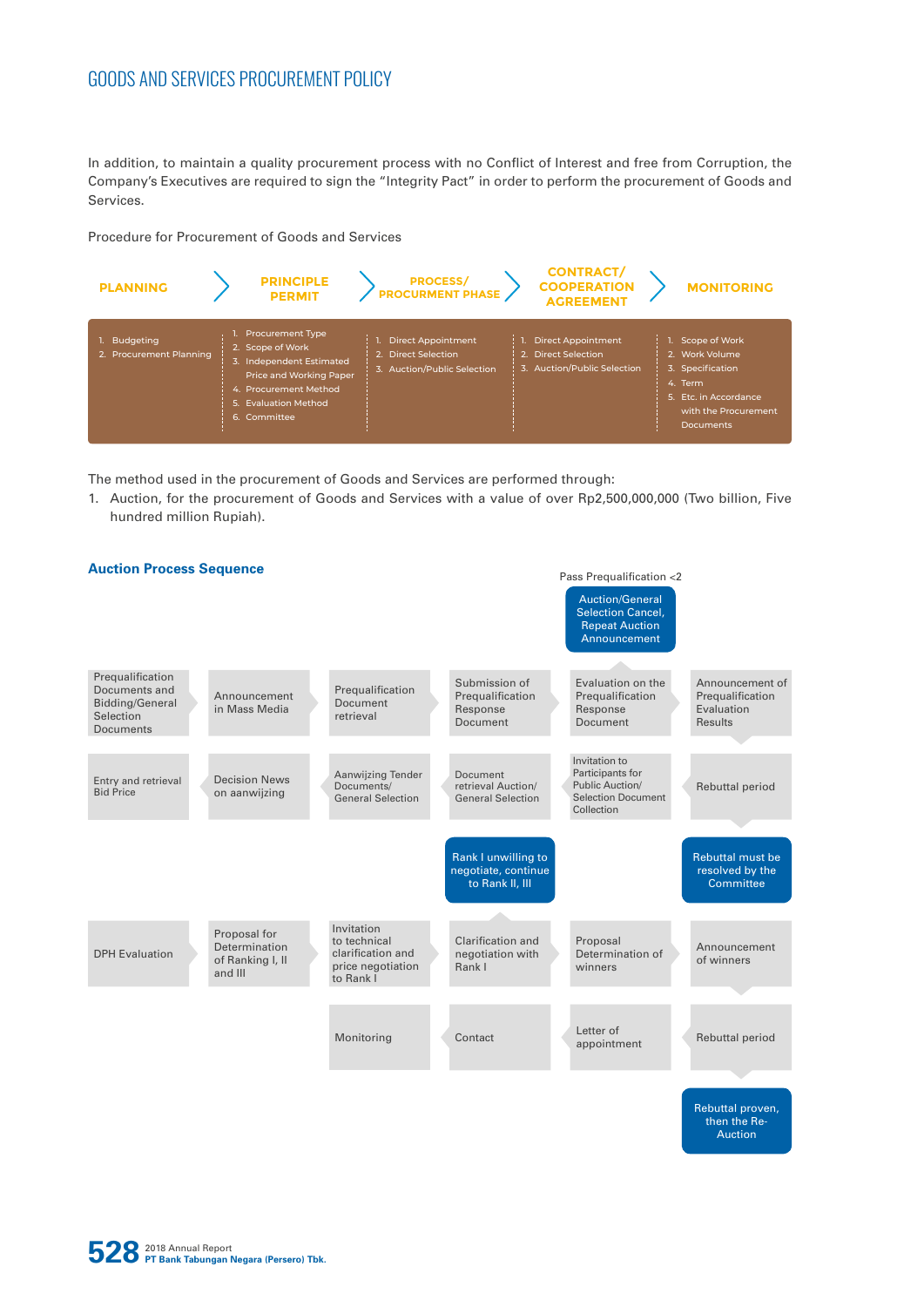## GOODS AND SERVICES PROCUREMENT POLICY

In addition, to maintain a quality procurement process with no Conflict of Interest and free from Corruption, the Company's Executives are required to sign the "Integrity Pact" in order to perform the procurement of Goods and Services.

Procedure for Procurement of Goods and Services



The method used in the procurement of Goods and Services are performed through:

1. Auction, for the procurement of Goods and Services with a value of over Rp2,500,000,000 (Two billion, Five hundred million Rupiah).



**528** 2018 Annual Report **PT Bank Tabungan Negara (Persero) Tbk.**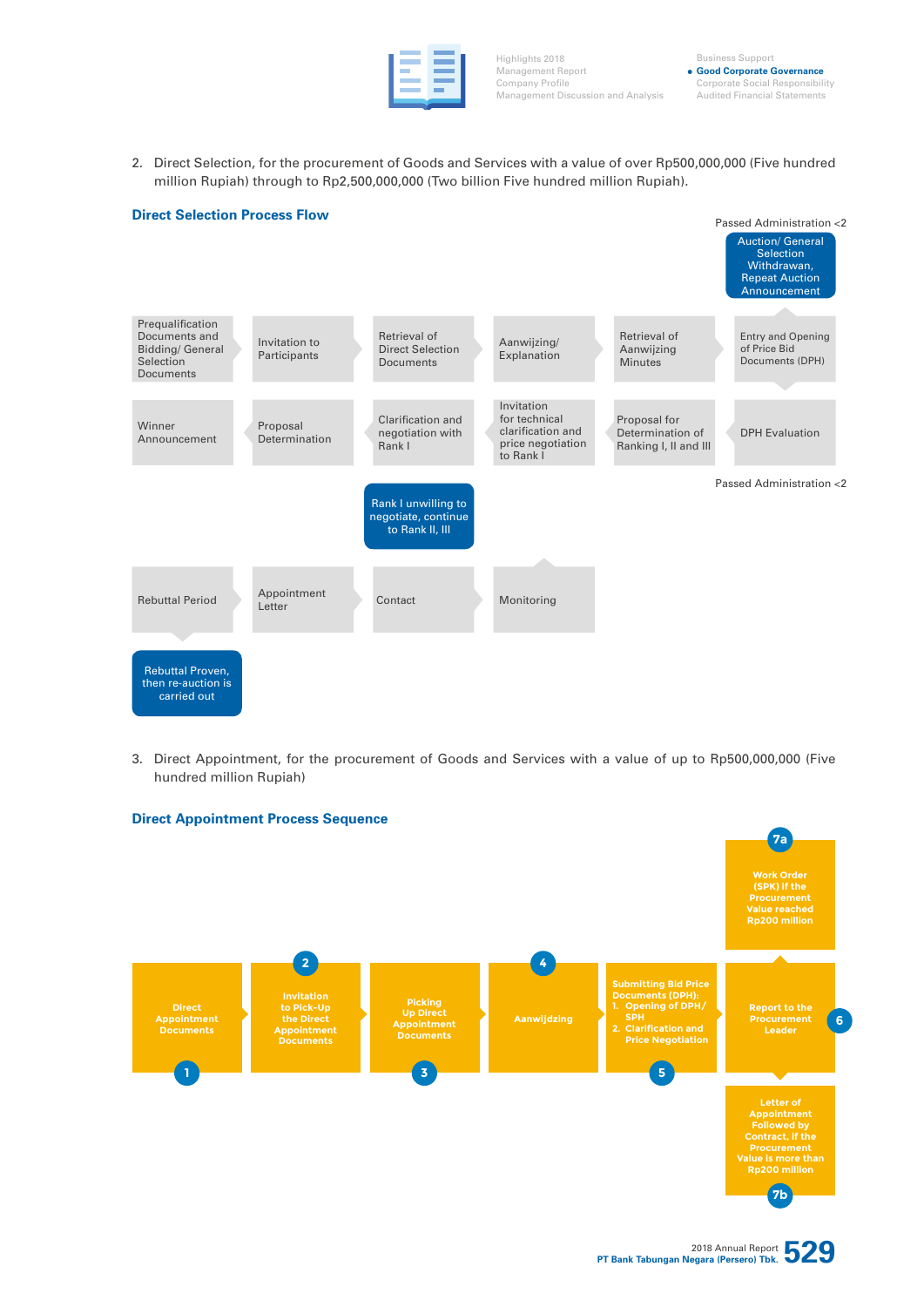Highlights 2018 Management Report Company Profile Management Discussion and Analysis

Business Support **Good Corporate Governance** Corporate Social Responsibility Audited Financial Statements

2. Direct Selection, for the procurement of Goods and Services with a value of over Rp500,000,000 (Five hundred million Rupiah) through to Rp2,500,000,000 (Two billion Five hundred million Rupiah).



3. Direct Appointment, for the procurement of Goods and Services with a value of up to Rp500,000,000 (Five hundred million Rupiah)